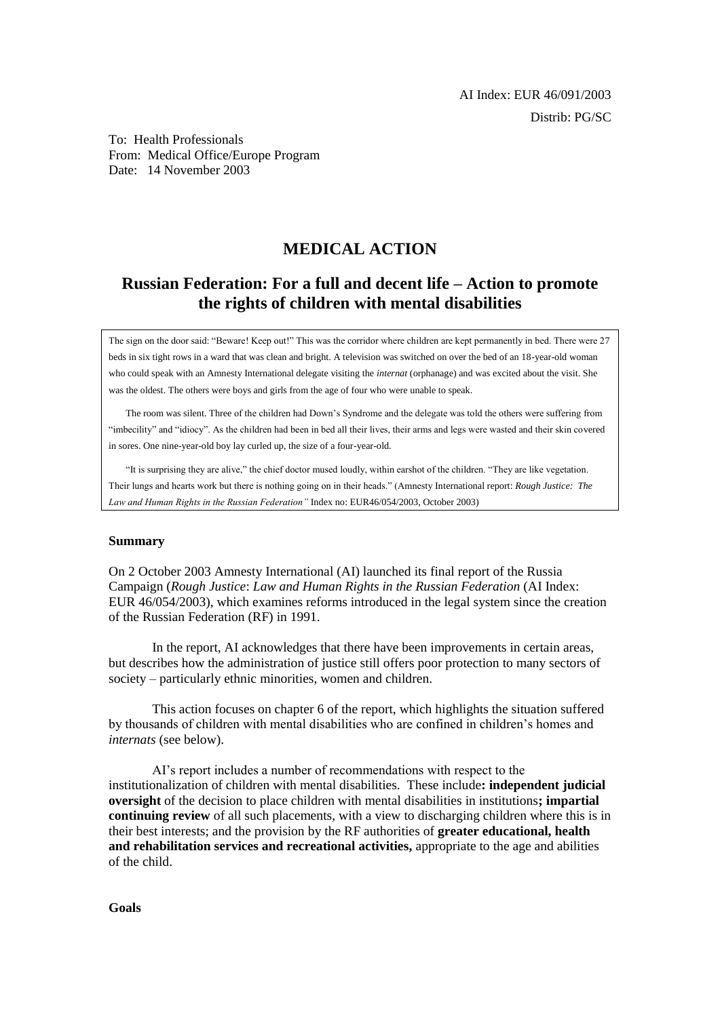To: Health Professionals From: Medical Office/Europe Program Date: 14 November 2003

# **MEDICAL ACTION**

# **Russian Federation: For a full and decent life – Action to promote the rights of children with mental disabilities**

The sign on the door said: "Beware! Keep out!" This was the corridor where children are kept permanently in bed. There were 27 beds in six tight rows in a ward that was clean and bright. A television was switched on over the bed of an 18-year-old woman who could speak with an Amnesty International delegate visiting the *internat* (orphanage) and was excited about the visit. She was the oldest. The others were boys and girls from the age of four who were unable to speak.

The room was silent. Three of the children had Down's Syndrome and the delegate was told the others were suffering from "imbecility" and "idiocy". As the children had been in bed all their lives, their arms and legs were wasted and their skin covered in sores. One nine-year-old boy lay curled up, the size of a four-year-old.

"It is surprising they are alive," the chief doctor mused loudly, within earshot of the children. "They are like vegetation. Their lungs and hearts work but there is nothing going on in their heads." (Amnesty International report: *Rough Justice: The Law and Human Rights in the Russian Federation"* Index no: EUR46/054/2003, October 2003)

#### **Summary**

On 2 October 2003 Amnesty International (AI) launched its final report of the Russia Campaign (*Rough Justice*: *Law and Human Rights in the Russian Federation* (AI Index: EUR 46/054/2003), which examines reforms introduced in the legal system since the creation of the Russian Federation (RF) in 1991.

In the report, AI acknowledges that there have been improvements in certain areas, but describes how the administration of justice still offers poor protection to many sectors of society – particularly ethnic minorities, women and children.

This action focuses on chapter 6 of the report, which highlights the situation suffered by thousands of children with mental disabilities who are confined in children's homes and *internats* (see below).

AI's report includes a number of recommendations with respect to the institutionalization of children with mental disabilities. These include**: independent judicial oversight** of the decision to place children with mental disabilities in institutions**; impartial continuing review** of all such placements, with a view to discharging children where this is in their best interests; and the provision by the RF authorities of **greater educational, health and rehabilitation services and recreational activities,** appropriate to the age and abilities of the child.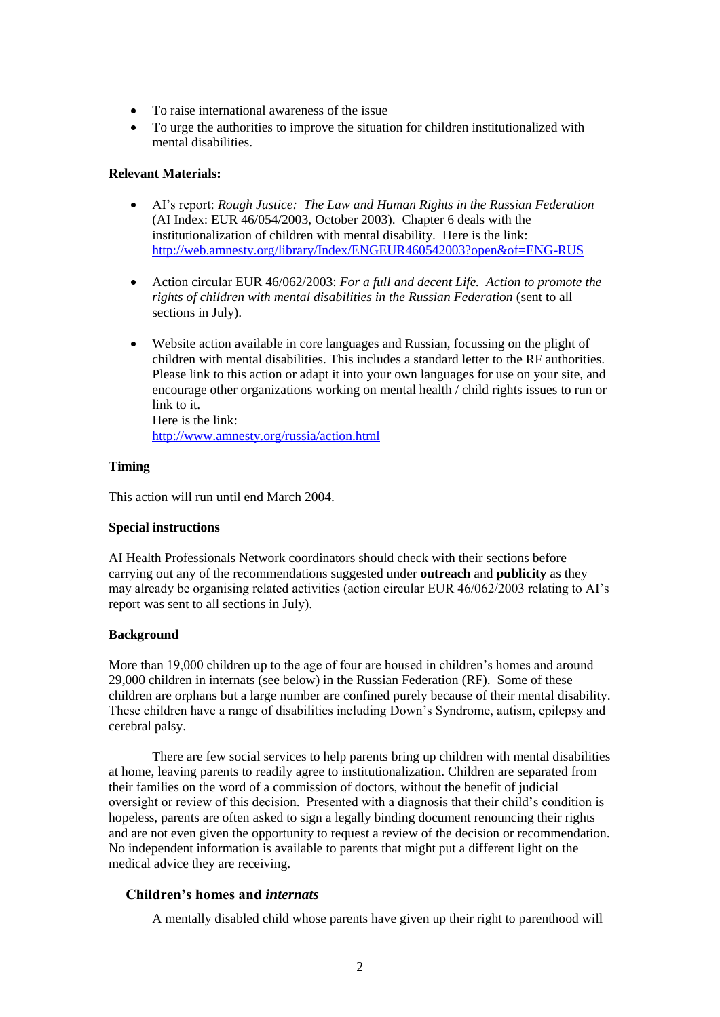- To raise international awareness of the issue
- To urge the authorities to improve the situation for children institutionalized with mental disabilities.

# **Relevant Materials:**

- AI's report: *Rough Justice: The Law and Human Rights in the Russian Federation* (AI Index: EUR 46/054/2003, October 2003). Chapter 6 deals with the institutionalization of children with mental disability. Here is the link: <http://web.amnesty.org/library/Index/ENGEUR460542003?open&of=ENG-RUS>
- Action circular EUR 46/062/2003: *For a full and decent Life. Action to promote the rights of children with mental disabilities in the Russian Federation* (sent to all sections in July).
- Website action available in core languages and Russian, focussing on the plight of children with mental disabilities. This includes a standard letter to the RF authorities. Please link to this action or adapt it into your own languages for use on your site, and encourage other organizations working on mental health / child rights issues to run or link to it. Here is the link:

<http://www.amnesty.org/russia/action.html>

# **Timing**

This action will run until end March 2004.

# **Special instructions**

AI Health Professionals Network coordinators should check with their sections before carrying out any of the recommendations suggested under **outreach** and **publicity** as they may already be organising related activities (action circular EUR 46/062/2003 relating to AI's report was sent to all sections in July).

# **Background**

More than 19,000 children up to the age of four are housed in children's homes and around 29,000 children in internats (see below) in the Russian Federation (RF). Some of these children are orphans but a large number are confined purely because of their mental disability. These children have a range of disabilities including Down's Syndrome, autism, epilepsy and cerebral palsy.

There are few social services to help parents bring up children with mental disabilities at home, leaving parents to readily agree to institutionalization. Children are separated from their families on the word of a commission of doctors, without the benefit of judicial oversight or review of this decision. Presented with a diagnosis that their child's condition is hopeless, parents are often asked to sign a legally binding document renouncing their rights and are not even given the opportunity to request a review of the decision or recommendation. No independent information is available to parents that might put a different light on the medical advice they are receiving.

# **Children's homes and** *internats*

A mentally disabled child whose parents have given up their right to parenthood will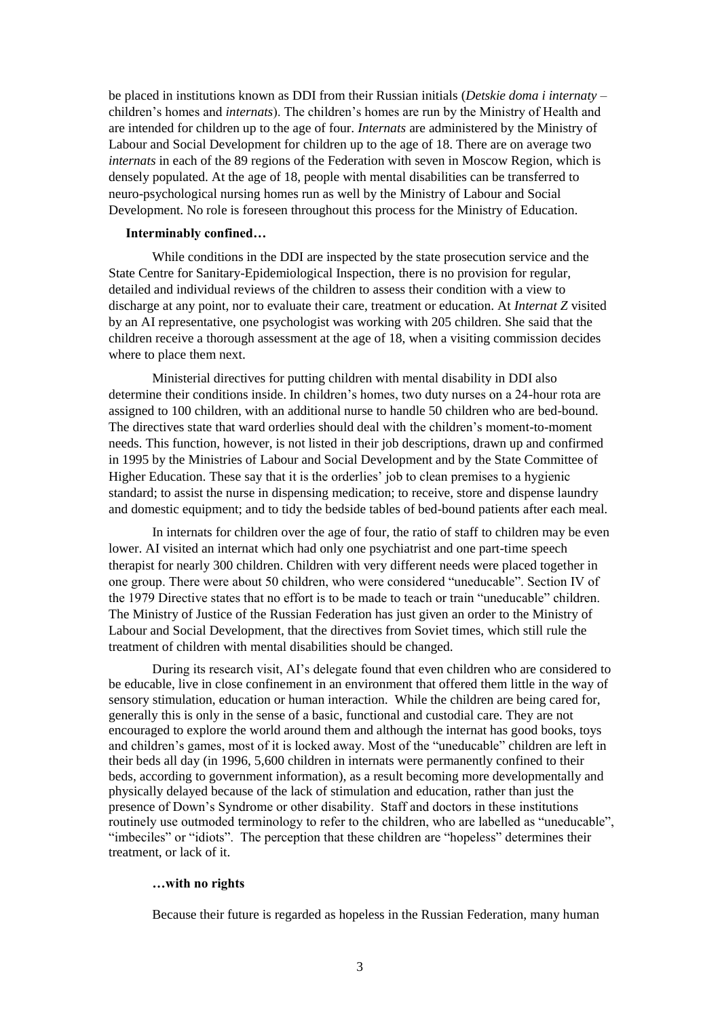be placed in institutions known as DDI from their Russian initials (*Detskie doma i internaty* – children's homes and *internats*). The children's homes are run by the Ministry of Health and are intended for children up to the age of four. *Internats* are administered by the Ministry of Labour and Social Development for children up to the age of 18. There are on average two *internats* in each of the 89 regions of the Federation with seven in Moscow Region, which is densely populated. At the age of 18, people with mental disabilities can be transferred to neuro-psychological nursing homes run as well by the Ministry of Labour and Social Development. No role is foreseen throughout this process for the Ministry of Education.

#### **Interminably confined…**

While conditions in the DDI are inspected by the state prosecution service and the State Centre for Sanitary-Epidemiological Inspection, there is no provision for regular, detailed and individual reviews of the children to assess their condition with a view to discharge at any point, nor to evaluate their care, treatment or education. At *Internat Z* visited by an AI representative, one psychologist was working with 205 children. She said that the children receive a thorough assessment at the age of 18, when a visiting commission decides where to place them next.

Ministerial directives for putting children with mental disability in DDI also determine their conditions inside. In children's homes, two duty nurses on a 24-hour rota are assigned to 100 children, with an additional nurse to handle 50 children who are bed-bound. The directives state that ward orderlies should deal with the children's moment-to-moment needs. This function, however, is not listed in their job descriptions, drawn up and confirmed in 1995 by the Ministries of Labour and Social Development and by the State Committee of Higher Education. These say that it is the orderlies' job to clean premises to a hygienic standard; to assist the nurse in dispensing medication; to receive, store and dispense laundry and domestic equipment; and to tidy the bedside tables of bed-bound patients after each meal.

In internats for children over the age of four, the ratio of staff to children may be even lower. AI visited an internat which had only one psychiatrist and one part-time speech therapist for nearly 300 children. Children with very different needs were placed together in one group. There were about 50 children, who were considered "uneducable". Section IV of the 1979 Directive states that no effort is to be made to teach or train "uneducable" children. The Ministry of Justice of the Russian Federation has just given an order to the Ministry of Labour and Social Development, that the directives from Soviet times, which still rule the treatment of children with mental disabilities should be changed.

During its research visit, AI's delegate found that even children who are considered to be educable, live in close confinement in an environment that offered them little in the way of sensory stimulation, education or human interaction. While the children are being cared for, generally this is only in the sense of a basic, functional and custodial care. They are not encouraged to explore the world around them and although the internat has good books, toys and children's games, most of it is locked away. Most of the "uneducable" children are left in their beds all day (in 1996, 5,600 children in internats were permanently confined to their beds, according to government information), as a result becoming more developmentally and physically delayed because of the lack of stimulation and education, rather than just the presence of Down's Syndrome or other disability. Staff and doctors in these institutions routinely use outmoded terminology to refer to the children, who are labelled as "uneducable", "imbeciles" or "idiots". The perception that these children are "hopeless" determines their treatment, or lack of it.

#### **…with no rights**

Because their future is regarded as hopeless in the Russian Federation, many human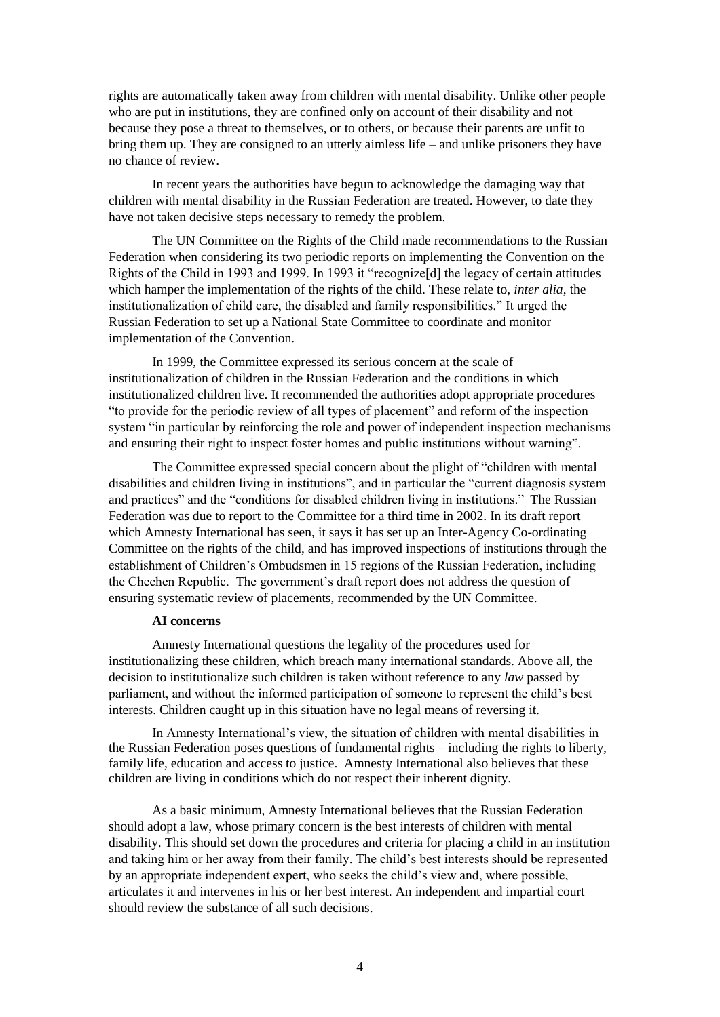rights are automatically taken away from children with mental disability. Unlike other people who are put in institutions, they are confined only on account of their disability and not because they pose a threat to themselves, or to others, or because their parents are unfit to bring them up. They are consigned to an utterly aimless life – and unlike prisoners they have no chance of review.

In recent years the authorities have begun to acknowledge the damaging way that children with mental disability in the Russian Federation are treated. However, to date they have not taken decisive steps necessary to remedy the problem.

The UN Committee on the Rights of the Child made recommendations to the Russian Federation when considering its two periodic reports on implementing the Convention on the Rights of the Child in 1993 and 1999. In 1993 it "recognize[d] the legacy of certain attitudes which hamper the implementation of the rights of the child. These relate to, *inter alia*, the institutionalization of child care, the disabled and family responsibilities." It urged the Russian Federation to set up a National State Committee to coordinate and monitor implementation of the Convention.

In 1999, the Committee expressed its serious concern at the scale of institutionalization of children in the Russian Federation and the conditions in which institutionalized children live. It recommended the authorities adopt appropriate procedures "to provide for the periodic review of all types of placement" and reform of the inspection system "in particular by reinforcing the role and power of independent inspection mechanisms and ensuring their right to inspect foster homes and public institutions without warning".

The Committee expressed special concern about the plight of "children with mental disabilities and children living in institutions", and in particular the "current diagnosis system and practices" and the "conditions for disabled children living in institutions." The Russian Federation was due to report to the Committee for a third time in 2002. In its draft report which Amnesty International has seen, it says it has set up an Inter-Agency Co-ordinating Committee on the rights of the child, and has improved inspections of institutions through the establishment of Children's Ombudsmen in 15 regions of the Russian Federation, including the Chechen Republic. The government's draft report does not address the question of ensuring systematic review of placements, recommended by the UN Committee.

#### **AI concerns**

Amnesty International questions the legality of the procedures used for institutionalizing these children, which breach many international standards. Above all, the decision to institutionalize such children is taken without reference to any *law* passed by parliament, and without the informed participation of someone to represent the child's best interests. Children caught up in this situation have no legal means of reversing it.

In Amnesty International's view, the situation of children with mental disabilities in the Russian Federation poses questions of fundamental rights – including the rights to liberty, family life, education and access to justice. Amnesty International also believes that these children are living in conditions which do not respect their inherent dignity.

As a basic minimum, Amnesty International believes that the Russian Federation should adopt a law, whose primary concern is the best interests of children with mental disability. This should set down the procedures and criteria for placing a child in an institution and taking him or her away from their family. The child's best interests should be represented by an appropriate independent expert, who seeks the child's view and, where possible, articulates it and intervenes in his or her best interest. An independent and impartial court should review the substance of all such decisions.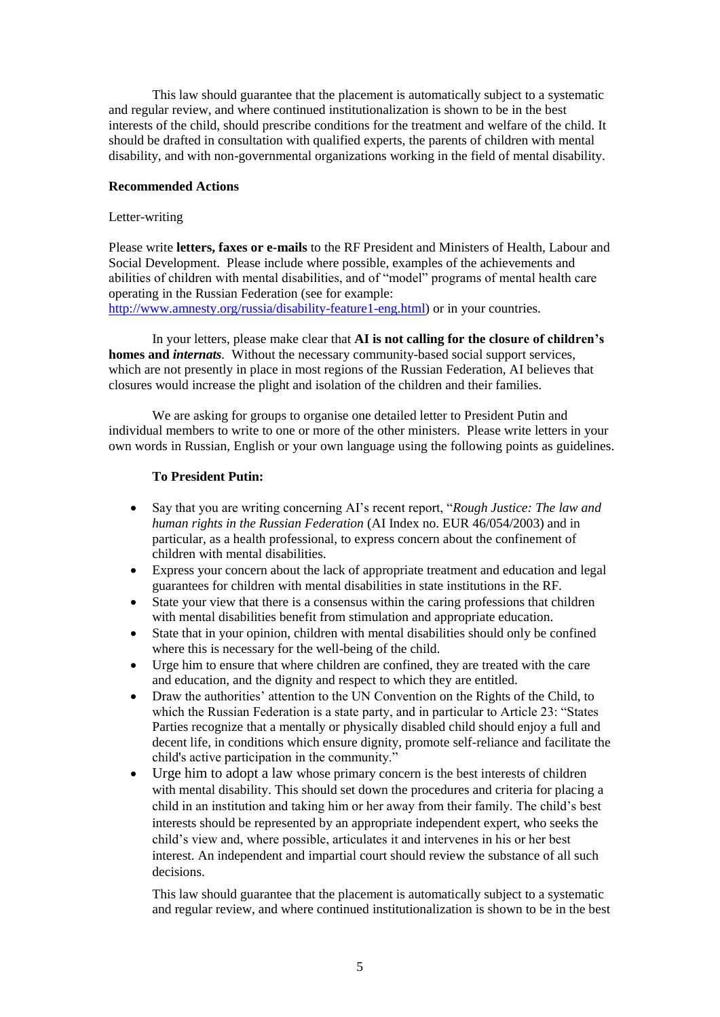This law should guarantee that the placement is automatically subject to a systematic and regular review, and where continued institutionalization is shown to be in the best interests of the child, should prescribe conditions for the treatment and welfare of the child. It should be drafted in consultation with qualified experts, the parents of children with mental disability, and with non-governmental organizations working in the field of mental disability.

#### **Recommended Actions**

#### Letter-writing

Please write **letters, faxes or e-mails** to the RF President and Ministers of Health, Labour and Social Development. Please include where possible, examples of the achievements and abilities of children with mental disabilities, and of "model" programs of mental health care operating in the Russian Federation (see for example:

[http://www.amnesty.org/russia/disability-feature1-eng.html\)](http://www.amnesty.org/russia/disability-feature1-eng.html) or in your countries.

In your letters, please make clear that **AI is not calling for the closure of children's homes and** *internats.* Without the necessary community-based social support services, which are not presently in place in most regions of the Russian Federation, AI believes that closures would increase the plight and isolation of the children and their families.

We are asking for groups to organise one detailed letter to President Putin and individual members to write to one or more of the other ministers. Please write letters in your own words in Russian, English or your own language using the following points as guidelines.

#### **To President Putin:**

- Say that you are writing concerning AI's recent report, "*Rough Justice: The law and human rights in the Russian Federation* (AI Index no. EUR 46/054/2003) and in particular, as a health professional, to express concern about the confinement of children with mental disabilities.
- Express your concern about the lack of appropriate treatment and education and legal guarantees for children with mental disabilities in state institutions in the RF.
- State your view that there is a consensus within the caring professions that children with mental disabilities benefit from stimulation and appropriate education.
- State that in your opinion, children with mental disabilities should only be confined where this is necessary for the well-being of the child.
- Urge him to ensure that where children are confined, they are treated with the care and education, and the dignity and respect to which they are entitled.
- Draw the authorities' attention to the UN Convention on the Rights of the Child, to which the Russian Federation is a state party, and in particular to Article 23: "States Parties recognize that a mentally or physically disabled child should enjoy a full and decent life, in conditions which ensure dignity, promote self-reliance and facilitate the child's active participation in the community."
- Urge him to adopt a law whose primary concern is the best interests of children with mental disability. This should set down the procedures and criteria for placing a child in an institution and taking him or her away from their family. The child's best interests should be represented by an appropriate independent expert, who seeks the child's view and, where possible, articulates it and intervenes in his or her best interest. An independent and impartial court should review the substance of all such decisions.

This law should guarantee that the placement is automatically subject to a systematic and regular review, and where continued institutionalization is shown to be in the best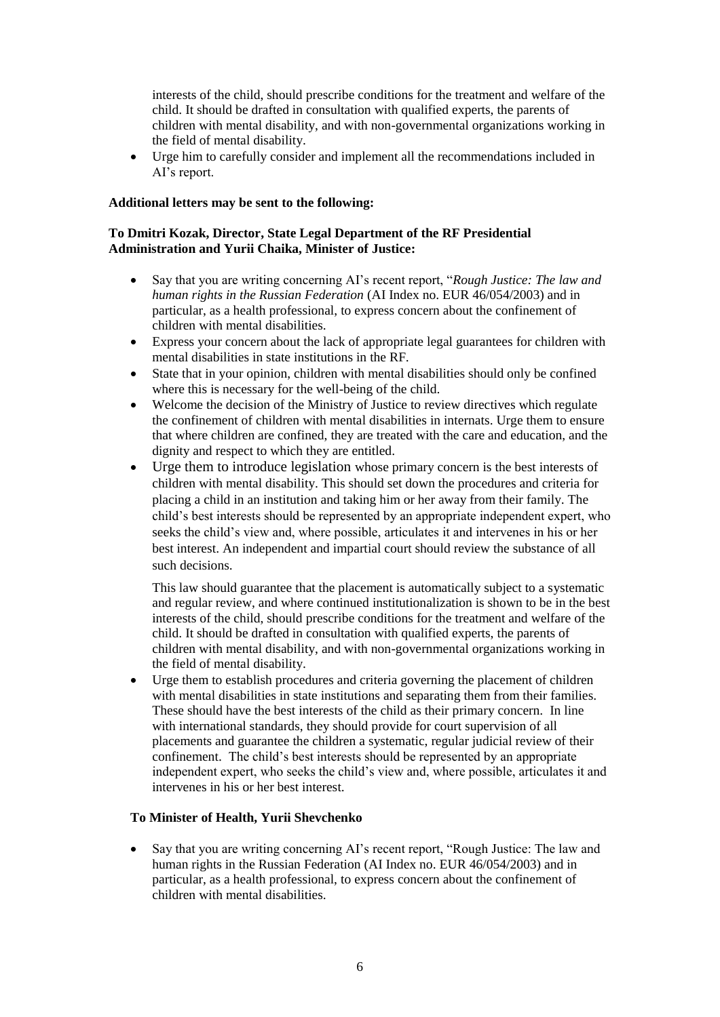interests of the child, should prescribe conditions for the treatment and welfare of the child. It should be drafted in consultation with qualified experts, the parents of children with mental disability, and with non-governmental organizations working in the field of mental disability.

 Urge him to carefully consider and implement all the recommendations included in AI's report.

### **Additional letters may be sent to the following:**

### **To Dmitri Kozak, Director, State Legal Department of the RF Presidential Administration and Yurii Chaika, Minister of Justice:**

- Say that you are writing concerning AI's recent report, "*Rough Justice: The law and human rights in the Russian Federation* (AI Index no. EUR 46/054/2003) and in particular, as a health professional, to express concern about the confinement of children with mental disabilities.
- Express your concern about the lack of appropriate legal guarantees for children with mental disabilities in state institutions in the RF.
- State that in your opinion, children with mental disabilities should only be confined where this is necessary for the well-being of the child.
- Welcome the decision of the Ministry of Justice to review directives which regulate the confinement of children with mental disabilities in internats. Urge them to ensure that where children are confined, they are treated with the care and education, and the dignity and respect to which they are entitled.
- Urge them to introduce legislation whose primary concern is the best interests of children with mental disability. This should set down the procedures and criteria for placing a child in an institution and taking him or her away from their family. The child's best interests should be represented by an appropriate independent expert, who seeks the child's view and, where possible, articulates it and intervenes in his or her best interest. An independent and impartial court should review the substance of all such decisions.

This law should guarantee that the placement is automatically subject to a systematic and regular review, and where continued institutionalization is shown to be in the best interests of the child, should prescribe conditions for the treatment and welfare of the child. It should be drafted in consultation with qualified experts, the parents of children with mental disability, and with non-governmental organizations working in the field of mental disability.

 Urge them to establish procedures and criteria governing the placement of children with mental disabilities in state institutions and separating them from their families. These should have the best interests of the child as their primary concern. In line with international standards, they should provide for court supervision of all placements and guarantee the children a systematic, regular judicial review of their confinement. The child's best interests should be represented by an appropriate independent expert, who seeks the child's view and, where possible, articulates it and intervenes in his or her best interest.

### **To Minister of Health, Yurii Shevchenko**

• Say that you are writing concerning AI's recent report, "Rough Justice: The law and human rights in the Russian Federation (AI Index no. EUR 46/054/2003) and in particular, as a health professional, to express concern about the confinement of children with mental disabilities.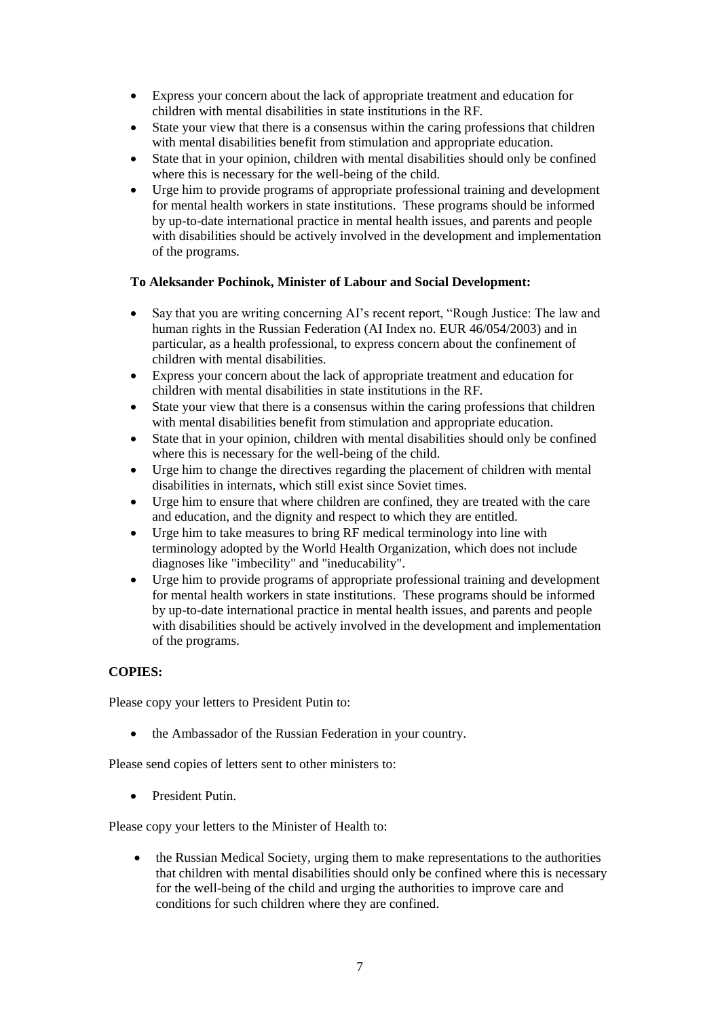- Express your concern about the lack of appropriate treatment and education for children with mental disabilities in state institutions in the RF.
- State your view that there is a consensus within the caring professions that children with mental disabilities benefit from stimulation and appropriate education.
- State that in your opinion, children with mental disabilities should only be confined where this is necessary for the well-being of the child.
- Urge him to provide programs of appropriate professional training and development for mental health workers in state institutions. These programs should be informed by up-to-date international practice in mental health issues, and parents and people with disabilities should be actively involved in the development and implementation of the programs.

# **To Aleksander Pochinok, Minister of Labour and Social Development:**

- Say that you are writing concerning AI's recent report, "Rough Justice: The law and human rights in the Russian Federation (AI Index no. EUR 46/054/2003) and in particular, as a health professional, to express concern about the confinement of children with mental disabilities.
- Express your concern about the lack of appropriate treatment and education for children with mental disabilities in state institutions in the RF.
- State your view that there is a consensus within the caring professions that children with mental disabilities benefit from stimulation and appropriate education.
- State that in your opinion, children with mental disabilities should only be confined where this is necessary for the well-being of the child.
- Urge him to change the directives regarding the placement of children with mental disabilities in internats, which still exist since Soviet times.
- Urge him to ensure that where children are confined, they are treated with the care and education, and the dignity and respect to which they are entitled.
- Urge him to take measures to bring RF medical terminology into line with terminology adopted by the World Health Organization, which does not include diagnoses like "imbecility" and "ineducability".
- Urge him to provide programs of appropriate professional training and development for mental health workers in state institutions. These programs should be informed by up-to-date international practice in mental health issues, and parents and people with disabilities should be actively involved in the development and implementation of the programs.

### **COPIES:**

Please copy your letters to President Putin to:

• the Ambassador of the Russian Federation in your country.

Please send copies of letters sent to other ministers to:

• President Putin.

Please copy your letters to the Minister of Health to:

 the Russian Medical Society, urging them to make representations to the authorities that children with mental disabilities should only be confined where this is necessary for the well-being of the child and urging the authorities to improve care and conditions for such children where they are confined.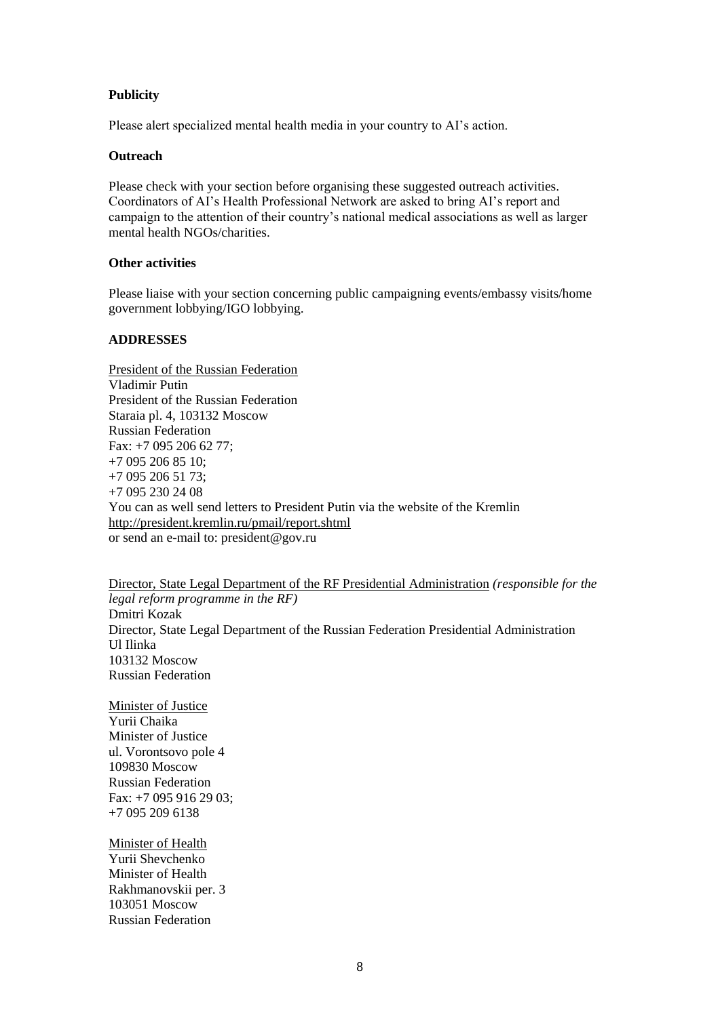# **Publicity**

Please alert specialized mental health media in your country to AI's action.

#### **Outreach**

Please check with your section before organising these suggested outreach activities. Coordinators of AI's Health Professional Network are asked to bring AI's report and campaign to the attention of their country's national medical associations as well as larger mental health NGOs/charities.

### **Other activities**

Please liaise with your section concerning public campaigning events/embassy visits/home government lobbying/IGO lobbying.

### **ADDRESSES**

President of the Russian Federation Vladimir Putin President of the Russian Federation Staraia pl. 4, 103132 Moscow Russian Federation Fax: +7 095 206 62 77; +7 095 206 85 10; +7 095 206 51 73; +7 095 230 24 08 You can as well send letters to President Putin via the website of the Kremlin <http://president.kremlin.ru/pmail/report.shtml> or send an e-mail to: president@gov.ru

Director, State Legal Department of the RF Presidential Administration *(responsible for the legal reform programme in the RF)* Dmitri Kozak Director, State Legal Department of the Russian Federation Presidential Administration Ul Ilinka 103132 Moscow Russian Federation

Minister of Justice Yurii Chaika Minister of Justice ul. Vorontsovo pole 4 109830 Moscow Russian Federation Fax: +7 095 916 29 03; +7 095 209 6138

Minister of Health Yurii Shevchenko Minister of Health Rakhmanovskii per. 3 103051 Moscow Russian Federation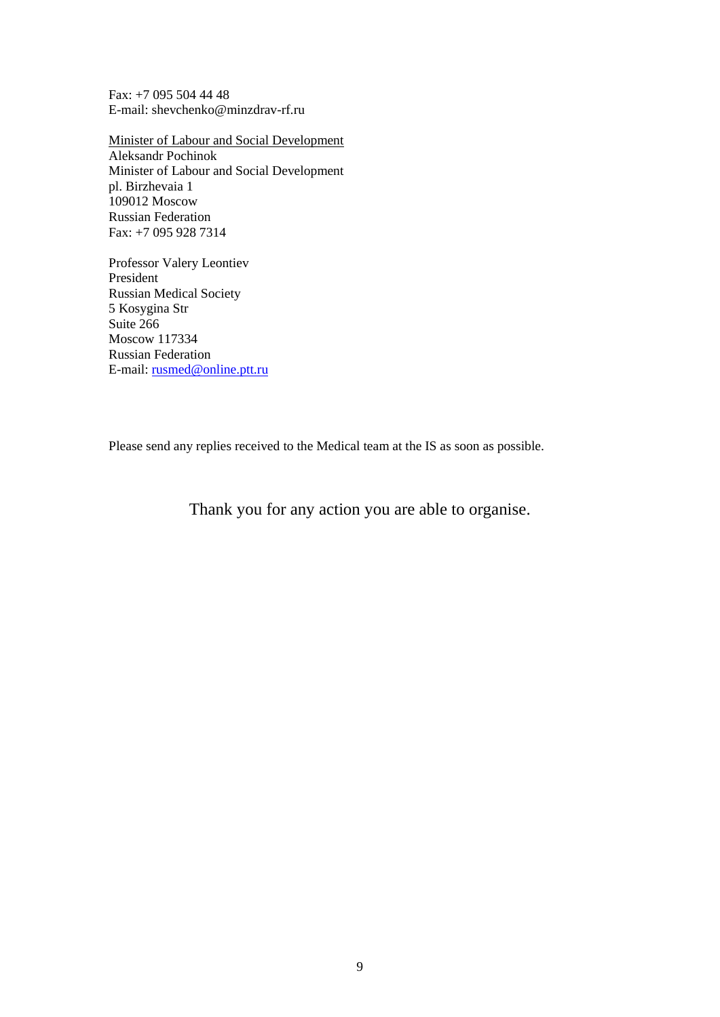Fax: +7 095 504 44 48 E-mail: shevchenko@minzdrav-rf.ru

Minister of Labour and Social Development Aleksandr Pochinok Minister of Labour and Social Development pl. Birzhevaia 1 109012 Moscow Russian Federation Fax: +7 095 928 7314

Professor Valery Leontiev President Russian Medical Society 5 Kosygina Str Suite 266 Moscow 117334 Russian Federation E-mail: [rusmed@online.ptt.ru](mailto:rusmed@online.ptt.ru)

Please send any replies received to the Medical team at the IS as soon as possible.

Thank you for any action you are able to organise.